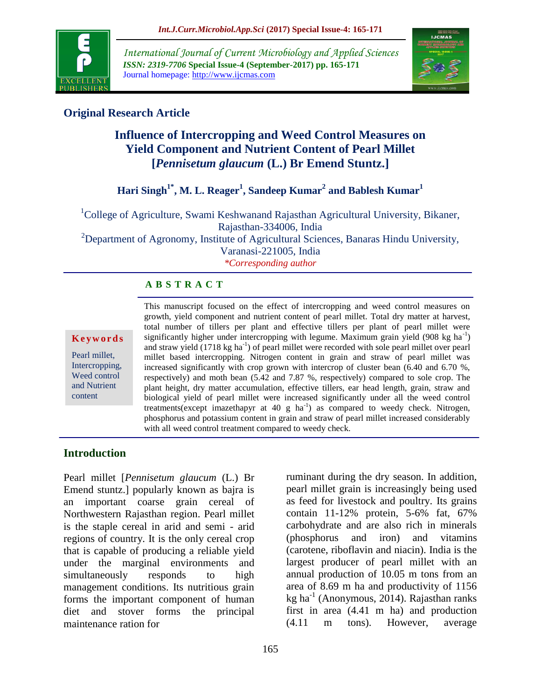

*International Journal of Current Microbiology and Applied Sciences ISSN: 2319-7706* **Special Issue-4 (September-2017) pp. 165-171** Journal homepage: http://www.ijcmas.com



## **Original Research Article**

# **Influence of Intercropping and Weed Control Measures on Yield Component and Nutrient Content of Pearl Millet [***Pennisetum glaucum* **(L.) Br Emend Stuntz.]**

### **Hari Singh1\*, M. L. Reager<sup>1</sup> , Sandeep Kumar<sup>2</sup> and Bablesh Kumar<sup>1</sup>**

<sup>1</sup>College of Agriculture, Swami Keshwanand Rajasthan Agricultural University, Bikaner, Rajasthan-334006, India  $2D$ epartment of Agronomy, Institute of Agricultural Sciences, Banaras Hindu University,

Varanasi-221005, India

*\*Corresponding author*

#### **A B S T R A C T**

#### **K e y w o r d s**

Pearl millet, Intercropping, Weed control and Nutrient content

This manuscript focused on the effect of intercropping and weed control measures on growth, yield component and nutrient content of pearl millet. Total dry matter at harvest, total number of tillers per plant and effective tillers per plant of pearl millet were significantly higher under intercropping with legume. Maximum grain yield  $(908 \text{ kg ha}^{-1})$ and straw yield (1718 kg ha<sup>-1</sup>) of pearl millet were recorded with sole pearl millet over pearl millet based intercropping. Nitrogen content in grain and straw of pearl millet was increased significantly with crop grown with intercrop of cluster bean (6.40 and 6.70 %, respectively) and moth bean (5.42 and 7.87 %, respectively) compared to sole crop. The plant height, dry matter accumulation, effective tillers, ear head length, grain, straw and biological yield of pearl millet were increased significantly under all the weed control treatments(except imazethapyr at 40 g  $ha^{-1}$ ) as compared to weedy check. Nitrogen, phosphorus and potassium content in grain and straw of pearl millet increased considerably with all weed control treatment compared to weedy check.

#### **Introduction**

Pearl millet [*Pennisetum glaucum* (L.) Br Emend stuntz.] popularly known as bajra is an important coarse grain cereal of Northwestern Rajasthan region. Pearl millet is the staple cereal in arid and semi - arid regions of country. It is the only cereal crop that is capable of producing a reliable yield under the marginal environments and simultaneously responds to high management conditions. Its nutritious grain forms the important component of human diet and stover forms the principal maintenance ration for

ruminant during the dry season. In addition, pearl millet grain is increasingly being used as feed for livestock and poultry. Its grains contain 11-12% protein, 5-6% fat, 67% carbohydrate and are also rich in minerals (phosphorus and iron) and vitamins (carotene, riboflavin and niacin). India is the largest producer of pearl millet with an annual production of 10.05 m tons from an area of 8.69 m ha and productivity of 1156  $kg$  ha<sup>-1</sup> (Anonymous, 2014). Rajasthan ranks first in area (4.41 m ha) and production (4.11 m tons). However, average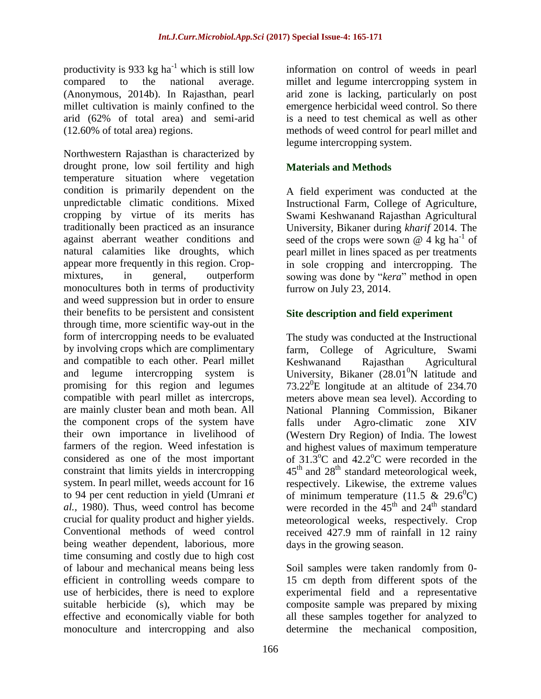productivity is 933 kg ha<sup>-1</sup> which is still low compared to the national average. (Anonymous, 2014b). In Rajasthan, pearl millet cultivation is mainly confined to the arid (62% of total area) and semi-arid (12.60% of total area) regions.

Northwestern Rajasthan is characterized by drought prone, low soil fertility and high temperature situation where vegetation condition is primarily dependent on the unpredictable climatic conditions. Mixed cropping by virtue of its merits has traditionally been practiced as an insurance against aberrant weather conditions and natural calamities like droughts, which appear more frequently in this region. Cropmixtures, in general, outperform monocultures both in terms of productivity and weed suppression but in order to ensure their benefits to be persistent and consistent through time, more scientific way-out in the form of intercropping needs to be evaluated by involving crops which are complimentary and compatible to each other. Pearl millet and legume intercropping system is promising for this region and legumes compatible with pearl millet as intercrops, are mainly cluster bean and moth bean. All the component crops of the system have their own importance in livelihood of farmers of the region. Weed infestation is considered as one of the most important constraint that limits yields in intercropping system. In pearl millet, weeds account for 16 to 94 per cent reduction in yield (Umrani *et al.,* 1980). Thus, weed control has become crucial for quality product and higher yields. Conventional methods of weed control being weather dependent, laborious, more time consuming and costly due to high cost of labour and mechanical means being less efficient in controlling weeds compare to use of herbicides, there is need to explore suitable herbicide (s), which may be effective and economically viable for both monoculture and intercropping and also

information on control of weeds in pearl millet and legume intercropping system in arid zone is lacking, particularly on post emergence herbicidal weed control. So there is a need to test chemical as well as other methods of weed control for pearl millet and legume intercropping system.

### **Materials and Methods**

A field experiment was conducted at the Instructional Farm, College of Agriculture, Swami Keshwanand Rajasthan Agricultural University, Bikaner during *kharif* 2014. The seed of the crops were sown  $@$  4 kg ha<sup>-1</sup> of pearl millet in lines spaced as per treatments in sole cropping and intercropping. The sowing was done by "*kera*" method in open furrow on July 23, 2014.

#### **Site description and field experiment**

The study was conducted at the Instructional farm, College of Agriculture, Swami Keshwanand Rajasthan Agricultural University, Bikaner  $(28.01^0N)$  latitude and  $73.22^0$ E longitude at an altitude of 234.70 meters above mean sea level). According to National Planning Commission, Bikaner falls under Agro-climatic zone XIV (Western Dry Region) of India. The lowest and highest values of maximum temperature of  $31.3^{\circ}$ C and  $42.2^{\circ}$ C were recorded in the  $45<sup>th</sup>$  and  $28<sup>th</sup>$  standard meteorological week, respectively. Likewise, the extreme values of minimum temperature (11.5 & 29.6<sup>0</sup>C) were recorded in the  $45<sup>th</sup>$  and  $24<sup>th</sup>$  standard meteorological weeks, respectively. Crop received 427.9 mm of rainfall in 12 rainy days in the growing season.

Soil samples were taken randomly from 0- 15 cm depth from different spots of the experimental field and a representative composite sample was prepared by mixing all these samples together for analyzed to determine the mechanical composition,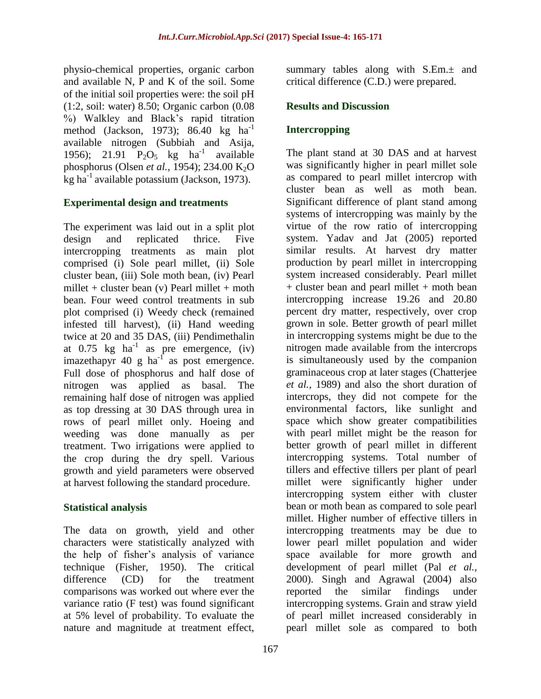physio-chemical properties, organic carbon and available N, P and K of the soil. Some of the initial soil properties were: the soil pH (1:2, soil: water) 8.50; Organic carbon (0.08 %) Walkley and Black's rapid titration method (Jackson, 1973); 86.40 kg  $ha^{-1}$ available nitrogen (Subbiah and Asija, 1956); 21.91  $P_2O_5$  kg ha<sup>-1</sup> available phosphorus (Olsen *et al.,* 1954); 234.00 K2O kg ha $^{-1}$  available potassium (Jackson, 1973).

#### **Experimental design and treatments**

The experiment was laid out in a split plot design and replicated thrice. Five intercropping treatments as main plot comprised (i) Sole pearl millet, (ii) Sole cluster bean, (iii) Sole moth bean, (iv) Pearl millet + cluster bean  $(v)$  Pearl millet + moth bean. Four weed control treatments in sub plot comprised (i) Weedy check (remained infested till harvest), (ii) Hand weeding twice at 20 and 35 DAS, (iii) Pendimethalin at 0.75 kg ha<sup>-1</sup> as pre emergence, (iv) imazethapyr 40 g ha $^{-1}$  as post emergence. Full dose of phosphorus and half dose of nitrogen was applied as basal. The remaining half dose of nitrogen was applied as top dressing at 30 DAS through urea in rows of pearl millet only. Hoeing and weeding was done manually as per treatment. Two irrigations were applied to the crop during the dry spell. Various growth and yield parameters were observed at harvest following the standard procedure.

#### **Statistical analysis**

The data on growth, yield and other characters were statistically analyzed with the help of fisher's analysis of variance technique (Fisher, 1950). The critical difference (CD) for the treatment comparisons was worked out where ever the variance ratio (F test) was found significant at 5% level of probability. To evaluate the nature and magnitude at treatment effect,

summary tables along with  $S.Em.±$  and critical difference (C.D.) were prepared.

#### **Results and Discussion**

#### **Intercropping**

The plant stand at 30 DAS and at harvest was significantly higher in pearl millet sole as compared to pearl millet intercrop with cluster bean as well as moth bean. Significant difference of plant stand among systems of intercropping was mainly by the virtue of the row ratio of intercropping system. Yadav and Jat (2005) reported similar results. At harvest dry matter production by pearl millet in intercropping system increased considerably. Pearl millet + cluster bean and pearl millet + moth bean intercropping increase 19.26 and 20.80 percent dry matter, respectively, over crop grown in sole. Better growth of pearl millet in intercropping systems might be due to the nitrogen made available from the intercrops is simultaneously used by the companion graminaceous crop at later stages (Chatterjee *et al.,* 1989) and also the short duration of intercrops, they did not compete for the environmental factors, like sunlight and space which show greater compatibilities with pearl millet might be the reason for better growth of pearl millet in different intercropping systems. Total number of tillers and effective tillers per plant of pearl millet were significantly higher under intercropping system either with cluster bean or moth bean as compared to sole pearl millet. Higher number of effective tillers in intercropping treatments may be due to lower pearl millet population and wider space available for more growth and development of pearl millet (Pal *et al.,* 2000). Singh and Agrawal (2004) also reported the similar findings under intercropping systems. Grain and straw yield of pearl millet increased considerably in pearl millet sole as compared to both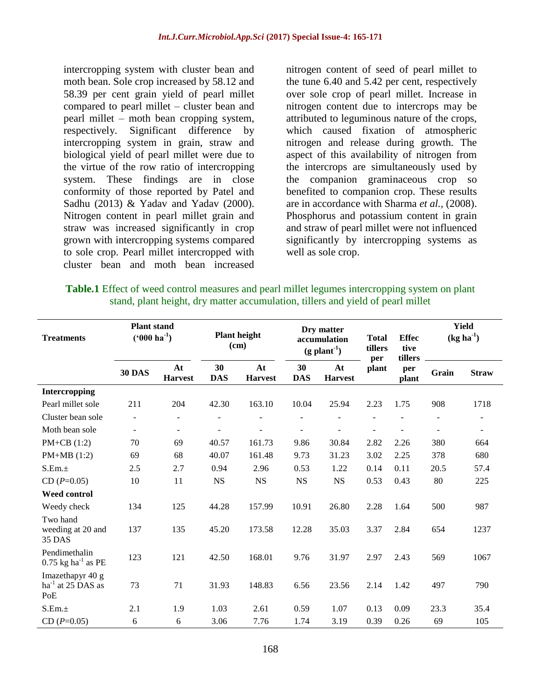intercropping system with cluster bean and moth bean. Sole crop increased by 58.12 and 58.39 per cent grain yield of pearl millet compared to pearl millet – cluster bean and pearl millet – moth bean cropping system, respectively. Significant difference by intercropping system in grain, straw and biological yield of pearl millet were due to the virtue of the row ratio of intercropping system. These findings are in close conformity of those reported by Patel and Sadhu (2013) & Yadav and Yadav (2000). Nitrogen content in pearl millet grain and straw was increased significantly in crop grown with intercropping systems compared to sole crop. Pearl millet intercropped with cluster bean and moth bean increased nitrogen content of seed of pearl millet to the tune 6.40 and 5.42 per cent, respectively over sole crop of pearl millet. Increase in nitrogen content due to intercrops may be attributed to leguminous nature of the crops, which caused fixation of atmospheric nitrogen and release during growth. The aspect of this availability of nitrogen from the intercrops are simultaneously used by the companion graminaceous crop so benefited to companion crop. These results are in accordance with Sharma *et al.,* (2008). Phosphorus and potassium content in grain and straw of pearl millet were not influenced significantly by intercropping systems as well as sole crop.

| <b>Table.1</b> Effect of weed control measures and pearl millet legumes intercropping system on plant |
|-------------------------------------------------------------------------------------------------------|
| stand, plant height, dry matter accumulation, tillers and yield of pearl millet                       |

| <b>Treatments</b>                                 | <b>Plant stand</b><br>$(^{6}000 \text{ ha}^{-1})$ |                      | <b>Plant height</b><br>(cm) |                      | Dry matter<br>accumulation<br>$(g$ plant <sup>-1</sup> ) |                      | <b>Total</b><br>tillers<br>per | <b>Effec</b><br>tive<br>tillers | <b>Yield</b><br>$(kg ha-1)$ |                |
|---------------------------------------------------|---------------------------------------------------|----------------------|-----------------------------|----------------------|----------------------------------------------------------|----------------------|--------------------------------|---------------------------------|-----------------------------|----------------|
|                                                   | <b>30 DAS</b>                                     | At<br><b>Harvest</b> | 30<br><b>DAS</b>            | At<br><b>Harvest</b> | 30<br><b>DAS</b>                                         | At<br><b>Harvest</b> | plant                          | per<br>plant                    | Grain                       | <b>Straw</b>   |
| Intercropping                                     |                                                   |                      |                             |                      |                                                          |                      |                                |                                 |                             |                |
| Pearl millet sole                                 | 211                                               | 204                  | 42.30                       | 163.10               | 10.04                                                    | 25.94                | 2.23                           | 1.75                            | 908                         | 1718           |
| Cluster bean sole                                 | $\blacksquare$                                    |                      |                             |                      |                                                          |                      |                                |                                 |                             |                |
| Moth bean sole                                    | $\sim$                                            | $\blacksquare$       | $\blacksquare$              |                      |                                                          |                      |                                |                                 | $\blacksquare$              | $\blacksquare$ |
| PM+CB $(1:2)$                                     | 70                                                | 69                   | 40.57                       | 161.73               | 9.86                                                     | 30.84                | 2.82                           | 2.26                            | 380                         | 664            |
| $PM+MB(1:2)$                                      | 69                                                | 68                   | 40.07                       | 161.48               | 9.73                                                     | 31.23                | 3.02                           | 2.25                            | 378                         | 680            |
| S.Em.±                                            | 2.5                                               | 2.7                  | 0.94                        | 2.96                 | 0.53                                                     | 1.22                 | 0.14                           | 0.11                            | 20.5                        | 57.4           |
| $CD(P=0.05)$                                      | 10                                                | 11                   | <b>NS</b>                   | <b>NS</b>            | <b>NS</b>                                                | <b>NS</b>            | 0.53                           | 0.43                            | 80                          | 225            |
| <b>Weed control</b>                               |                                                   |                      |                             |                      |                                                          |                      |                                |                                 |                             |                |
| Weedy check                                       | 134                                               | 125                  | 44.28                       | 157.99               | 10.91                                                    | 26.80                | 2.28                           | 1.64                            | 500                         | 987            |
| Two hand<br>weeding at 20 and<br>35 DAS           | 137                                               | 135                  | 45.20                       | 173.58               | 12.28                                                    | 35.03                | 3.37                           | 2.84                            | 654                         | 1237           |
| Pendimethalin<br>$0.75$ kg ha <sup>-1</sup> as PE | 123                                               | 121                  | 42.50                       | 168.01               | 9.76                                                     | 31.97                | 2.97                           | 2.43                            | 569                         | 1067           |
| Imazethapyr 40 g<br>$ha^{-1}$ at 25 DAS as<br>PoE | 73                                                | 71                   | 31.93                       | 148.83               | 6.56                                                     | 23.56                | 2.14                           | 1.42                            | 497                         | 790            |
| S.Em.±                                            | 2.1                                               | 1.9                  | 1.03                        | 2.61                 | 0.59                                                     | 1.07                 | 0.13                           | 0.09                            | 23.3                        | 35.4           |
| $CD(P=0.05)$                                      | 6                                                 | 6                    | 3.06                        | 7.76                 | 1.74                                                     | 3.19                 | 0.39                           | 0.26                            | 69                          | 105            |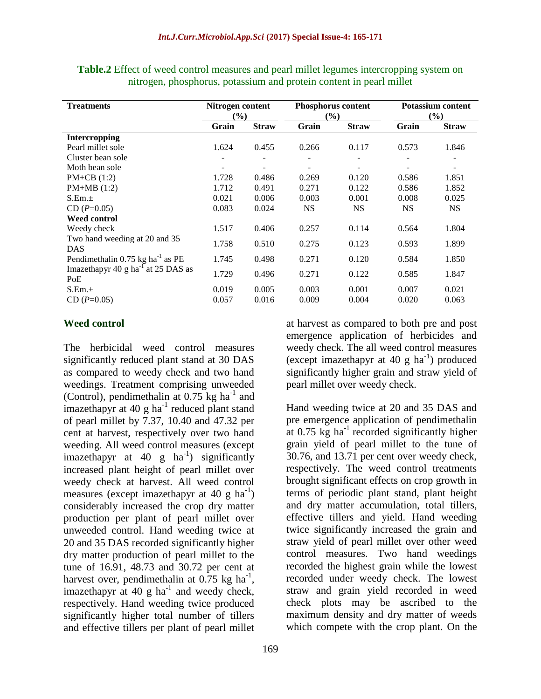| <b>Treatments</b>                               | Nitrogen content<br>$(\%)$ |              | Phosphorus content<br>$(\%)$ |              | <b>Potassium content</b><br>(%) |                          |  |
|-------------------------------------------------|----------------------------|--------------|------------------------------|--------------|---------------------------------|--------------------------|--|
|                                                 | Grain                      | <b>Straw</b> | Grain                        | <b>Straw</b> | Grain                           | <b>Straw</b>             |  |
| Intercropping                                   |                            |              |                              |              |                                 |                          |  |
| Pearl millet sole                               | 1.624                      | 0.455        | 0.266                        | 0.117        | 0.573                           | 1.846                    |  |
| Cluster bean sole                               |                            |              |                              |              |                                 |                          |  |
| Moth bean sole                                  |                            |              |                              |              |                                 | $\overline{\phantom{a}}$ |  |
| $PM+CB(1:2)$                                    | 1.728                      | 0.486        | 0.269                        | 0.120        | 0.586                           | 1.851                    |  |
| $PM+MB(1:2)$                                    | 1.712                      | 0.491        | 0.271                        | 0.122        | 0.586                           | 1.852                    |  |
| S.Em.±                                          | 0.021                      | 0.006        | 0.003                        | 0.001        | 0.008                           | 0.025                    |  |
| $CD(P=0.05)$                                    | 0.083                      | 0.024        | <b>NS</b>                    | <b>NS</b>    | <b>NS</b>                       | <b>NS</b>                |  |
| <b>Weed control</b>                             |                            |              |                              |              |                                 |                          |  |
| Weedy check                                     | 1.517                      | 0.406        | 0.257                        | 0.114        | 0.564                           | 1.804                    |  |
| Two hand weeding at 20 and 35                   | 1.758                      | 0.510        | 0.275                        | 0.123        | 0.593                           |                          |  |
| <b>DAS</b>                                      |                            |              |                              |              |                                 | 1.899                    |  |
| Pendimethalin 0.75 kg ha <sup>-1</sup> as PE    | 1.745                      | 0.498        | 0.271                        | 0.120        | 0.584                           | 1.850                    |  |
| Imazethapyr 40 g ha $^{-1}$ at 25 DAS as<br>PoE | 1.729                      | 0.496        | 0.271                        | 0.122        | 0.585                           | 1.847                    |  |
| S.Em.±                                          | 0.019                      | 0.005        | 0.003                        | 0.001        | 0.007                           | 0.021                    |  |
| $CD(P=0.05)$                                    | 0.057                      | 0.016        | 0.009                        | 0.004        | 0.020                           | 0.063                    |  |

**Table.2** Effect of weed control measures and pearl millet legumes intercropping system on nitrogen, phosphorus, potassium and protein content in pearl millet

#### **Weed control**

The herbicidal weed control measures significantly reduced plant stand at 30 DAS as compared to weedy check and two hand weedings. Treatment comprising unweeded (Control), pendimethalin at  $0.75$  kg ha<sup>-1</sup> and imazethapyr at  $40 \text{ g}$  ha<sup>-1</sup> reduced plant stand of pearl millet by 7.37, 10.40 and 47.32 per cent at harvest, respectively over two hand weeding. All weed control measures (except imazethapyr at  $40 \text{ g}$  ha<sup>-1</sup>) significantly increased plant height of pearl millet over weedy check at harvest. All weed control measures (except imazethapyr at 40 g  $\text{ha}^{-1}$ ) considerably increased the crop dry matter production per plant of pearl millet over unweeded control. Hand weeding twice at 20 and 35 DAS recorded significantly higher dry matter production of pearl millet to the tune of 16.91, 48.73 and 30.72 per cent at harvest over, pendimethalin at  $0.75$  kg ha<sup>-1</sup>, imazethapyr at 40  $g$  ha<sup>-1</sup> and weedy check, respectively. Hand weeding twice produced significantly higher total number of tillers and effective tillers per plant of pearl millet

at harvest as compared to both pre and post emergence application of herbicides and weedy check. The all weed control measures (except imazethapyr at 40  $g$  ha<sup>-1</sup>) produced significantly higher grain and straw yield of pearl millet over weedy check.

Hand weeding twice at 20 and 35 DAS and pre emergence application of pendimethalin at  $0.75 \text{ kg}$  ha<sup>-1</sup> recorded significantly higher grain yield of pearl millet to the tune of 30.76, and 13.71 per cent over weedy check, respectively. The weed control treatments brought significant effects on crop growth in terms of periodic plant stand, plant height and dry matter accumulation, total tillers, effective tillers and yield. Hand weeding twice significantly increased the grain and straw yield of pearl millet over other weed control measures. Two hand weedings recorded the highest grain while the lowest recorded under weedy check. The lowest straw and grain yield recorded in weed check plots may be ascribed to the maximum density and dry matter of weeds which compete with the crop plant. On the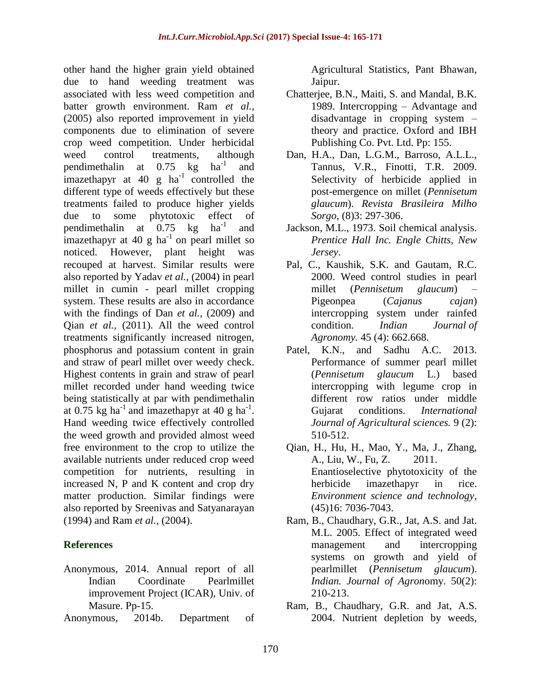other hand the higher grain yield obtained due to hand weeding treatment was associated with less weed competition and batter growth environment. Ram *et al.,*  (2005) also reported improvement in yield components due to elimination of severe crop weed competition. Under herbicidal weed control treatments, although pendimethalin at  $0.75 \text{ kg}$  ha<sup>-1</sup> and imazethapyr at 40 g  $ha^{-1}$  controlled the different type of weeds effectively but these treatments failed to produce higher yields due to some phytotoxic effect of pendimethalin at  $0.75 \text{ kg}$  ha<sup>-1</sup> and imazethapyr at 40 g ha<sup>-1</sup> on pearl millet so noticed. However, plant height was recouped at harvest. Similar results were also reported by Yadav *et al.,* (2004) in pearl millet in cumin - pearl millet cropping system. These results are also in accordance with the findings of Dan *et al.,* (2009) and Qian *et al.,* (2011). All the weed control treatments significantly increased nitrogen, phosphorus and potassium content in grain and straw of pearl millet over weedy check. Highest contents in grain and straw of pearl millet recorded under hand weeding twice being statistically at par with pendimethalin at 0.75 kg ha<sup>-1</sup> and imazethapyr at 40 g ha<sup>-1</sup>. Hand weeding twice effectively controlled the weed growth and provided almost weed free environment to the crop to utilize the available nutrients under reduced crop weed competition for nutrients, resulting in increased N, P and K content and crop dry matter production. Similar findings were also reported by Sreenivas and Satyanarayan (1994) and Ram *et al.,* (2004).

#### **References**

- Anonymous, 2014. Annual report of all Indian Coordinate Pearlmillet improvement Project (ICAR), Univ. of Masure. Pp-15.
- Anonymous, 2014b. Department of

Agricultural Statistics, Pant Bhawan, Jaipur.

- Chatterjee, B.N., Maiti, S. and Mandal, B.K. 1989. Intercropping – Advantage and disadvantage in cropping system – theory and practice. Oxford and IBH Publishing Co. Pvt. Ltd. Pp: 155.
- Dan, H.A., Dan, L.G.M., Barroso, A.L.L., Tannus, V.R., Finotti, T.R. 2009. Selectivity of herbicide applied in post-emergence on millet (*Pennisetum glaucum*). *Revista Brasileira Milho Sorgo*, (8)3: 297-306.
- Jackson, M.L., 1973. Soil chemical analysis. *Prentice Hall Inc. Engle Chitts, New Jersey*.
- Pal, C., Kaushik, S.K. and Gautam, R.C. 2000. Weed control studies in pearl millet (*Pennisetum glaucum*) – Pigeonpea (*Cajanus cajan*) intercropping system under rainfed condition. *Indian Journal of Agronomy.* 45 (4): 662.668.
- Patel, K.N., and Sadhu A.C. 2013. Performance of summer pearl millet (*Pennisetum glaucum* L.) based intercropping with legume crop in different row ratios under middle Gujarat conditions. *International Journal of Agricultural sciences.* 9 (2): 510-512.
- Qian, H., Hu, H., Mao, Y., Ma, J., Zhang, A., Liu, W., Fu, Z. 2011. Enantioselective phytotoxicity of the herbicide imazethapyr in rice. *Environment science and technology*, (45)16: 7036-7043.
- Ram, B., Chaudhary, G.R., Jat, A.S. and Jat. M.L. 2005. Effect of integrated weed management and intercropping systems on growth and yield of pearlmillet (*Pennisetum glaucum*). *Indian. Journal of Agron*omy. 50(2): 210-213.
- Ram, B., Chaudhary, G.R. and Jat, A.S. 2004. Nutrient depletion by weeds,